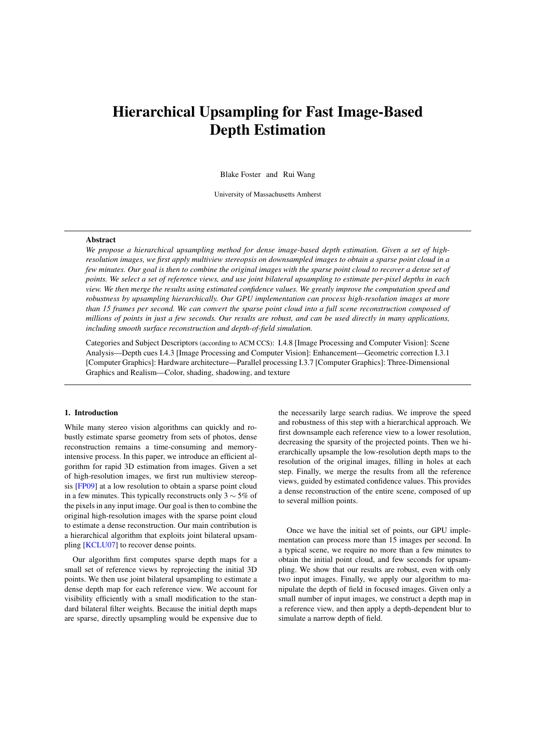# <span id="page-0-0"></span>Hierarchical Upsampling for Fast Image-Based Depth Estimation

Blake Foster and Rui Wang

University of Massachusetts Amherst

# Abstract

*We propose a hierarchical upsampling method for dense image-based depth estimation. Given a set of highresolution images, we first apply multiview stereopsis on downsampled images to obtain a sparse point cloud in a few minutes. Our goal is then to combine the original images with the sparse point cloud to recover a dense set of points. We select a set of reference views, and use joint bilateral upsampling to estimate per-pixel depths in each view. We then merge the results using estimated confidence values. We greatly improve the computation speed and robustness by upsampling hierarchically. Our GPU implementation can process high-resolution images at more than 15 frames per second. We can convert the sparse point cloud into a full scene reconstruction composed of millions of points in just a few seconds. Our results are robust, and can be used directly in many applications, including smooth surface reconstruction and depth-of-field simulation.*

Categories and Subject Descriptors (according to ACM CCS): I.4.8 [Image Processing and Computer Vision]: Scene Analysis—Depth cues I.4.3 [Image Processing and Computer Vision]: Enhancement—Geometric correction I.3.1 [Computer Graphics]: Hardware architecture—Parallel processing I.3.7 [Computer Graphics]: Three-Dimensional Graphics and Realism—Color, shading, shadowing, and texture

# 1. Introduction

While many stereo vision algorithms can quickly and robustly estimate sparse geometry from sets of photos, dense reconstruction remains a time-consuming and memoryintensive process. In this paper, we introduce an efficient algorithm for rapid 3D estimation from images. Given a set of high-resolution images, we first run multiview stereopsis [\[FP09\]](#page-7-0) at a low resolution to obtain a sparse point cloud in a few minutes. This typically reconstructs only 3  $\sim$  5% of the pixels in any input image. Our goal is then to combine the original high-resolution images with the sparse point cloud to estimate a dense reconstruction. Our main contribution is a hierarchical algorithm that exploits joint bilateral upsampling [\[KCLU07\]](#page-7-1) to recover dense points.

Our algorithm first computes sparse depth maps for a small set of reference views by reprojecting the initial 3D points. We then use joint bilateral upsampling to estimate a dense depth map for each reference view. We account for visibility efficiently with a small modification to the standard bilateral filter weights. Because the initial depth maps are sparse, directly upsampling would be expensive due to

the necessarily large search radius. We improve the speed and robustness of this step with a hierarchical approach. We first downsample each reference view to a lower resolution, decreasing the sparsity of the projected points. Then we hierarchically upsample the low-resolution depth maps to the resolution of the original images, filling in holes at each step. Finally, we merge the results from all the reference views, guided by estimated confidence values. This provides a dense reconstruction of the entire scene, composed of up to several million points.

Once we have the initial set of points, our GPU implementation can process more than 15 images per second. In a typical scene, we require no more than a few minutes to obtain the initial point cloud, and few seconds for upsampling. We show that our results are robust, even with only two input images. Finally, we apply our algorithm to manipulate the depth of field in focused images. Given only a small number of input images, we construct a depth map in a reference view, and then apply a depth-dependent blur to simulate a narrow depth of field.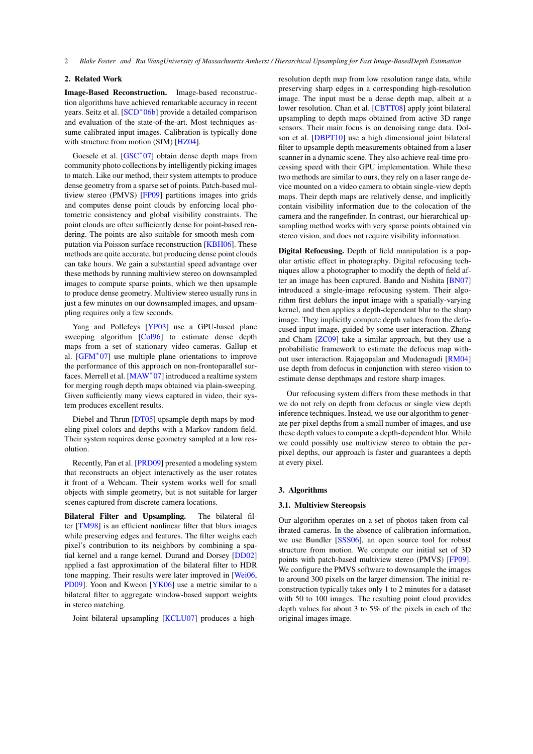# <span id="page-1-0"></span>2. Related Work

Image-Based Reconstruction. Image-based reconstruction algorithms have achieved remarkable accuracy in recent years. Seitz et al. [\[SCD](#page-7-2)<sup>\*</sup>06b] provide a detailed comparison and evaluation of the state-of-the-art. Most techniques assume calibrated input images. Calibration is typically done with structure from motion (SfM) [\[HZ04\]](#page-7-3).

Goesele et al. [\[GSC](#page-7-4)<sup>\*</sup>07] obtain dense depth maps from community photo collections by intelligently picking images to match. Like our method, their system attempts to produce dense geometry from a sparse set of points. Patch-based multiview stereo (PMVS) [\[FP09\]](#page-7-0) partitions images into grids and computes dense point clouds by enforcing local photometric consistency and global visibility constraints. The point clouds are often sufficiently dense for point-based rendering. The points are also suitable for smooth mesh computation via Poisson surface reconstruction [\[KBH06\]](#page-7-5). These methods are quite accurate, but producing dense point clouds can take hours. We gain a substantial speed advantage over these methods by running multiview stereo on downsampled images to compute sparse points, which we then upsample to produce dense geometry. Multiview stereo usually runs in just a few minutes on our downsampled images, and upsampling requires only a few seconds.

Yang and Pollefeys [\[YP03\]](#page-7-6) use a GPU-based plane sweeping algorithm [\[Col96\]](#page-5-0) to estimate dense depth maps from a set of stationary video cameras. Gallup et al. [\[GFM](#page-7-7)<sup>∗</sup> 07] use multiple plane orientations to improve the performance of this approach on non-frontoparallel sur-faces. Merrell et al. [\[MAW](#page-7-8)<sup>\*</sup>07] introduced a realtime system for merging rough depth maps obtained via plain-sweeping. Given sufficiently many views captured in video, their system produces excellent results.

Diebel and Thrun [\[DT05\]](#page-5-1) upsample depth maps by modeling pixel colors and depths with a Markov random field. Their system requires dense geometry sampled at a low resolution.

Recently, Pan et al. [\[PRD09\]](#page-7-9) presented a modeling system that reconstructs an object interactively as the user rotates it front of a Webcam. Their system works well for small objects with simple geometry, but is not suitable for larger scenes captured from discrete camera locations.

Bilateral Filter and Upsampling. The bilateral filter [\[TM98\]](#page-7-10) is an efficient nonlinear filter that blurs images while preserving edges and features. The filter weighs each pixel's contribution to its neighbors by combining a spatial kernel and a range kernel. Durand and Dorsey [\[DD02\]](#page-5-2) applied a fast approximation of the bilateral filter to HDR tone mapping. Their results were later improved in [\[Wei06,](#page-7-11) [PD09\]](#page-7-12). Yoon and Kweon [\[YK06\]](#page-7-13) use a metric similar to a bilateral filter to aggregate window-based support weights in stereo matching.

Joint bilateral upsampling [\[KCLU07\]](#page-7-1) produces a high-

resolution depth map from low resolution range data, while preserving sharp edges in a corresponding high-resolution image. The input must be a dense depth map, albeit at a lower resolution. Chan et al. [\[CBTT08\]](#page-5-3) apply joint bilateral upsampling to depth maps obtained from active 3D range sensors. Their main focus is on denoising range data. Dolson et al. [\[DBPT10\]](#page-5-4) use a high dimensional joint bilateral filter to upsample depth measurements obtained from a laser scanner in a dynamic scene. They also achieve real-time processing speed with their GPU implementation. While these two methods are similar to ours, they rely on a laser range device mounted on a video camera to obtain single-view depth maps. Their depth maps are relatively dense, and implicitly contain visibility information due to the colocation of the camera and the rangefinder. In contrast, our hierarchical upsampling method works with very sparse points obtained via stereo vision, and does not require visibility information.

Digital Refocusing. Depth of field manipulation is a popular artistic effect in photography. Digital refocusing techniques allow a photographer to modify the depth of field after an image has been captured. Bando and Nishita [\[BN07\]](#page-5-5) introduced a single-image refocusing system. Their algorithm first deblurs the input image with a spatially-varying kernel, and then applies a depth-dependent blur to the sharp image. They implicitly compute depth values from the defocused input image, guided by some user interaction. Zhang and Cham [\[ZC09\]](#page-7-14) take a similar approach, but they use a probabilistic framework to estimate the defocus map without user interaction. Rajagopalan and Mudenagudi [\[RM04\]](#page-7-15) use depth from defocus in conjunction with stereo vision to estimate dense depthmaps and restore sharp images.

Our refocusing system differs from these methods in that we do not rely on depth from defocus or single view depth inference techniques. Instead, we use our algorithm to generate per-pixel depths from a small number of images, and use these depth values to compute a depth-dependent blur. While we could possibly use multiview stereo to obtain the perpixel depths, our approach is faster and guarantees a depth at every pixel.

#### 3. Algorithms

### 3.1. Multiview Stereopsis

Our algorithm operates on a set of photos taken from calibrated cameras. In the absence of calibration information, we use Bundler [\[SSS06\]](#page-7-16), an open source tool for robust structure from motion. We compute our initial set of 3D points with patch-based multiview stereo (PMVS) [\[FP09\]](#page-7-0). We configure the PMVS software to downsample the images to around 300 pixels on the larger dimension. The initial reconstruction typically takes only 1 to 2 minutes for a dataset with 50 to 100 images. The resulting point cloud provides depth values for about 3 to 5% of the pixels in each of the original images image.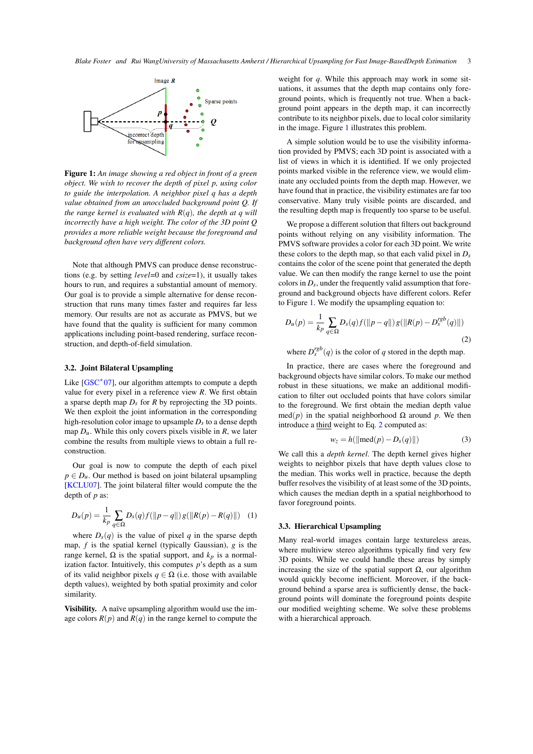<span id="page-2-5"></span>

<span id="page-2-0"></span>Figure 1: *An image showing a red object in front of a green object. We wish to recover the depth of pixel p, using color to guide the interpolation. A neighbor pixel q has a depth value obtained from an unoccluded background point Q. If the range kernel is evaluated with R*(*q*)*, the depth at q will incorrectly have a high weight. The color of the 3D point Q provides a more reliable weight because the foreground and background often have very different colors.*

Note that although PMVS can produce dense reconstructions (e.g. by setting *level*=0 and *csize*=1), it usually takes hours to run, and requires a substantial amount of memory. Our goal is to provide a simple alternative for dense reconstruction that runs many times faster and requires far less memory. Our results are not as accurate as PMVS, but we have found that the quality is sufficient for many common applications including point-based rendering, surface reconstruction, and depth-of-field simulation.

# <span id="page-2-2"></span>3.2. Joint Bilateral Upsampling

Like [\[GSC](#page-7-4)<sup>\*</sup>07], our algorithm attempts to compute a depth value for every pixel in a reference view *R*. We first obtain a sparse depth map *Ds* for *R* by reprojecting the 3D points. We then exploit the joint information in the corresponding high-resolution color image to upsample  $D<sub>s</sub>$  to a dense depth map  $D_u$ . While this only covers pixels visible in  $R$ , we later combine the results from multiple views to obtain a full reconstruction.

Our goal is now to compute the depth of each pixel  $p \in D_u$ . Our method is based on joint bilateral upsampling [\[KCLU07\]](#page-7-1). The joint bilateral filter would compute the the depth of *p* as:

$$
D_u(p) = \frac{1}{k_p} \sum_{q \in \Omega} D_s(q) f(||p - q||) g(||R(p) - R(q)||) \quad (1)
$$

where  $D_s(q)$  is the value of pixel *q* in the sparse depth map, *f* is the spatial kernel (typically Gaussian), *g* is the range kernel,  $\Omega$  is the spatial support, and  $k_p$  is a normalization factor. Intuitively, this computes *p*'s depth as a sum of its valid neighbor pixels  $q \in \Omega$  (i.e. those with available depth values), weighted by both spatial proximity and color similarity.

Visibility. A naïve upsampling algorithm would use the image colors  $R(p)$  and  $R(q)$  in the range kernel to compute the

weight for *q*. While this approach may work in some situations, it assumes that the depth map contains only foreground points, which is frequently not true. When a background point appears in the depth map, it can incorrectly contribute to its neighbor pixels, due to local color similarity in the image. Figure [1](#page-2-0) illustrates this problem.

A simple solution would be to use the visibility information provided by PMVS; each 3D point is associated with a list of views in which it is identified. If we only projected points marked visible in the reference view, we would eliminate any occluded points from the depth map. However, we have found that in practice, the visibility estimates are far too conservative. Many truly visible points are discarded, and the resulting depth map is frequently too sparse to be useful.

We propose a different solution that filters out background points without relying on any visibility information. The PMVS software provides a color for each 3D point. We write these colors to the depth map, so that each valid pixel in  $D_s$ contains the color of the scene point that generated the depth value. We can then modify the range kernel to use the point colors in *Ds*, under the frequently valid assumption that foreground and background objects have different colors. Refer to Figure [1.](#page-2-0) We modify the upsampling equation to:

<span id="page-2-1"></span>
$$
D_u(p) = \frac{1}{k_p} \sum_{q \in \Omega} D_s(q) f(||p - q||) g(||R(p) - D_s^{rgb}(q)||)
$$
\n(2)

where  $D_s^{rgb}(q)$  is the color of *q* stored in the depth map.

In practice, there are cases where the foreground and background objects have similar colors. To make our method robust in these situations, we make an additional modification to filter out occluded points that have colors similar to the foreground. We first obtain the median depth value med(*p*) in the spatial neighborhood Ω around *p*. We then introduce a third weight to Eq. [2](#page-2-1) computed as:

<span id="page-2-4"></span>
$$
w_z = h(||\text{med}(p) - D_s(q)||) \tag{3}
$$

We call this a *depth kernel*. The depth kernel gives higher weights to neighbor pixels that have depth values close to the median. This works well in practice, because the depth buffer resolves the visibility of at least some of the 3D points, which causes the median depth in a spatial neighborhood to favor foreground points.

#### <span id="page-2-3"></span>3.3. Hierarchical Upsampling

Many real-world images contain large textureless areas, where multiview stereo algorithms typically find very few 3D points. While we could handle these areas by simply increasing the size of the spatial support Ω, our algorithm would quickly become inefficient. Moreover, if the background behind a sparse area is sufficiently dense, the background points will dominate the foreground points despite our modified weighting scheme. We solve these problems with a hierarchical approach.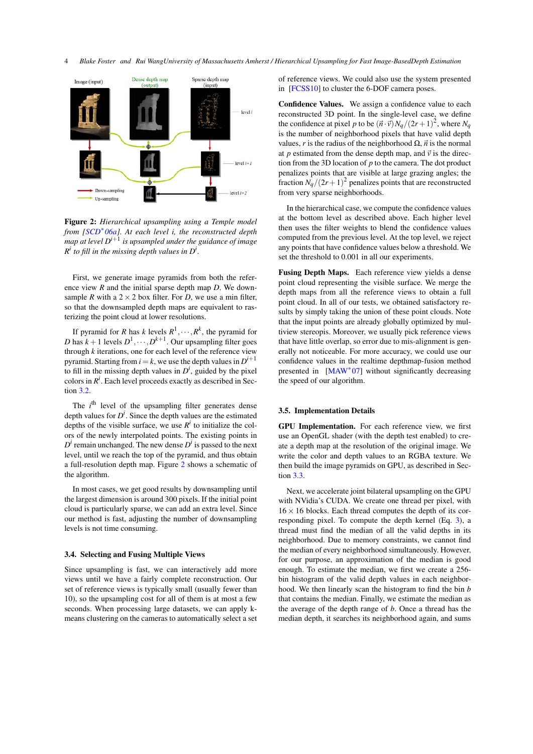<span id="page-3-1"></span>

<span id="page-3-0"></span>Figure 2: *Hierarchical upsampling using a Temple model from [\[SCD](#page-7-17)*<sup>∗</sup> *06a]. At each level i, the reconstructed depth map at level Di*+<sup>1</sup> *is upsampled under the guidance of image*  $R^i$  to fill in the missing depth values in  $D^i$ .

First, we generate image pyramids from both the reference view *R* and the initial sparse depth map *D*. We downsample *R* with a  $2 \times 2$  box filter. For *D*, we use a min filter, so that the downsampled depth maps are equivalent to rasterizing the point cloud at lower resolutions.

If pyramid for *R* has *k* levels  $R^1, \dots, R^k$ , the pyramid for *D* has  $k+1$  levels  $D^1, \dots, D^{k+1}$ . Our upsampling filter goes through *k* iterations, one for each level of the reference view pyramid. Starting from  $i = k$ , we use the depth values in  $D^{i+1}$ to fill in the missing depth values in  $D^i$ , guided by the pixel colors in  $R^i$ . Each level proceeds exactly as described in Sec $tion$  [3.2.](#page-2-2)

The *i*<sup>th</sup> level of the upsampling filter generates dense depth values for  $D^i$ . Since the depth values are the estimated depths of the visible surface, we use  $R^i$  to initialize the colors of the newly interpolated points. The existing points in  $D^i$  remain unchanged. The new dense  $D^i$  is passed to the next level, until we reach the top of the pyramid, and thus obtain a full-resolution depth map. Figure [2](#page-3-0) shows a schematic of the algorithm.

In most cases, we get good results by downsampling until the largest dimension is around 300 pixels. If the initial point cloud is particularly sparse, we can add an extra level. Since our method is fast, adjusting the number of downsampling levels is not time consuming.

#### 3.4. Selecting and Fusing Multiple Views

Since upsampling is fast, we can interactively add more views until we have a fairly complete reconstruction. Our set of reference views is typically small (usually fewer than 10), so the upsampling cost for all of them is at most a few seconds. When processing large datasets, we can apply kmeans clustering on the cameras to automatically select a set of reference views. We could also use the system presented in [\[FCSS10\]](#page-5-6) to cluster the 6-DOF camera poses.

Confidence Values. We assign a confidence value to each reconstructed 3D point. In the single-level case, we define the confidence at pixel p to be  $(\vec{n} \cdot \vec{v})N_q/(2r+1)^2$ , where  $N_q$ is the number of neighborhood pixels that have valid depth values, *r* is the radius of the neighborhood  $\Omega$ ,  $\vec{n}$  is the normal at *p* estimated from the dense depth map, and  $\vec{v}$  is the direction from the 3D location of *p* to the camera. The dot product penalizes points that are visible at large grazing angles; the fraction  $N_q/(2r+1)^2$  penalizes points that are reconstructed from very sparse neighborhoods.

In the hierarchical case, we compute the confidence values at the bottom level as described above. Each higher level then uses the filter weights to blend the confidence values computed from the previous level. At the top level, we reject any points that have confidence values below a threshold. We set the threshold to 0.001 in all our experiments.

Fusing Depth Maps. Each reference view yields a dense point cloud representing the visible surface. We merge the depth maps from all the reference views to obtain a full point cloud. In all of our tests, we obtained satisfactory results by simply taking the union of these point clouds. Note that the input points are already globally optimized by multiview stereopis. Moreover, we usually pick reference views that have little overlap, so error due to mis-alignment is generally not noticeable. For more accuracy, we could use our confidence values in the realtime depthmap-fusion method presented in [\[MAW](#page-7-8)<sup>\*</sup>07] without significantly decreasing the speed of our algorithm.

#### 3.5. Implementation Details

GPU Implementation. For each reference view, we first use an OpenGL shader (with the depth test enabled) to create a depth map at the resolution of the original image. We write the color and depth values to an RGBA texture. We then build the image pyramids on GPU, as described in Section [3.3.](#page-2-3)

Next, we accelerate joint bilateral upsampling on the GPU with NVidia's CUDA. We create one thread per pixel, with  $16 \times 16$  blocks. Each thread computes the depth of its corresponding pixel. To compute the depth kernel (Eq. [3\)](#page-2-4), a thread must find the median of all the valid depths in its neighborhood. Due to memory constraints, we cannot find the median of every neighborhood simultaneously. However, for our purpose, an approximation of the median is good enough. To estimate the median, we first we create a 256 bin histogram of the valid depth values in each neighborhood. We then linearly scan the histogram to find the bin *b* that contains the median. Finally, we estimate the median as the average of the depth range of *b*. Once a thread has the median depth, it searches its neighborhood again, and sums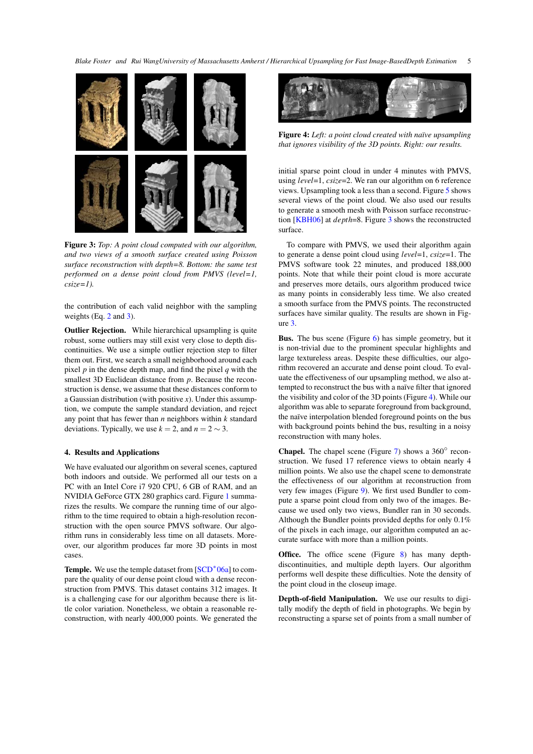<span id="page-4-2"></span>

Figure 3: *Top: A point cloud computed with our algorithm, and two views of a smooth surface created using Poisson surface reconstruction with depth=8. Bottom: the same test performed on a dense point cloud from PMVS (level=1, csize=1).*

<span id="page-4-0"></span>the contribution of each valid neighbor with the sampling weights (Eq. [2](#page-2-1) and [3\)](#page-2-4).

Outlier Rejection. While hierarchical upsampling is quite robust, some outliers may still exist very close to depth discontinuities. We use a simple outlier rejection step to filter them out. First, we search a small neighborhood around each pixel *p* in the dense depth map, and find the pixel *q* with the smallest 3D Euclidean distance from *p*. Because the reconstruction is dense, we assume that these distances conform to a Gaussian distribution (with positive *x*). Under this assumption, we compute the sample standard deviation, and reject any point that has fewer than *n* neighbors within *k* standard deviations. Typically, we use  $k = 2$ , and  $n = 2 \sim 3$ .

#### 4. Results and Applications

We have evaluated our algorithm on several scenes, captured both indoors and outside. We performed all our tests on a PC with an Intel Core i7 920 CPU, 6 GB of RAM, and an NVIDIA GeForce GTX 280 graphics card. Figure [1](#page-5-7) summarizes the results. We compare the running time of our algorithm to the time required to obtain a high-resolution reconstruction with the open source PMVS software. Our algorithm runs in considerably less time on all datasets. Moreover, our algorithm produces far more 3D points in most cases.

Temple. We use the temple dataset from [\[SCD](#page-7-17)<sup>\*</sup>06a] to compare the quality of our dense point cloud with a dense reconstruction from PMVS. This dataset contains 312 images. It is a challenging case for our algorithm because there is little color variation. Nonetheless, we obtain a reasonable reconstruction, with nearly 400,000 points. We generated the



Figure 4: *Left: a point cloud created with naïve upsampling that ignores visibility of the 3D points. Right: our results.*

<span id="page-4-1"></span>initial sparse point cloud in under 4 minutes with PMVS, using *level*=1, *csize*=2. We ran our algorithm on 6 reference views. Upsampling took a less than a second. Figure [5](#page-6-0) shows several views of the point cloud. We also used our results to generate a smooth mesh with Poisson surface reconstruction [\[KBH06\]](#page-7-5) at *depth*=8. Figure [3](#page-4-0) shows the reconstructed surface.

To compare with PMVS, we used their algorithm again to generate a dense point cloud using *level*=1, *csize*=1. The PMVS software took 22 minutes, and produced 188,000 points. Note that while their point cloud is more accurate and preserves more details, ours algorithm produced twice as many points in considerably less time. We also created a smooth surface from the PMVS points. The reconstructed surfaces have similar quality. The results are shown in Figure [3.](#page-4-0)

Bus. The bus scene (Figure [6\)](#page-6-1) has simple geometry, but it is non-trivial due to the prominent specular highlights and large textureless areas. Despite these difficulties, our algorithm recovered an accurate and dense point cloud. To evaluate the effectiveness of our upsampling method, we also attempted to reconstruct the bus with a naïve filter that ignored the visibility and color of the 3D points (Figure [4\)](#page-4-1). While our algorithm was able to separate foreground from background, the naïve interpolation blended foreground points on the bus with background points behind the bus, resulting in a noisy reconstruction with many holes.

Chapel. The chapel scene (Figure [7\)](#page-6-2) shows a  $360^\circ$  reconstruction. We fused 17 reference views to obtain nearly 4 million points. We also use the chapel scene to demonstrate the effectiveness of our algorithm at reconstruction from very few images (Figure [9\)](#page-6-3). We first used Bundler to compute a sparse point cloud from only two of the images. Because we used only two views, Bundler ran in 30 seconds. Although the Bundler points provided depths for only 0.1% of the pixels in each image, our algorithm computed an accurate surface with more than a million points.

Office. The office scene (Figure [8\)](#page-6-4) has many depthdiscontinuities, and multiple depth layers. Our algorithm performs well despite these difficulties. Note the density of the point cloud in the closeup image.

Depth-of-field Manipulation. We use our results to digitally modify the depth of field in photographs. We begin by reconstructing a sparse set of points from a small number of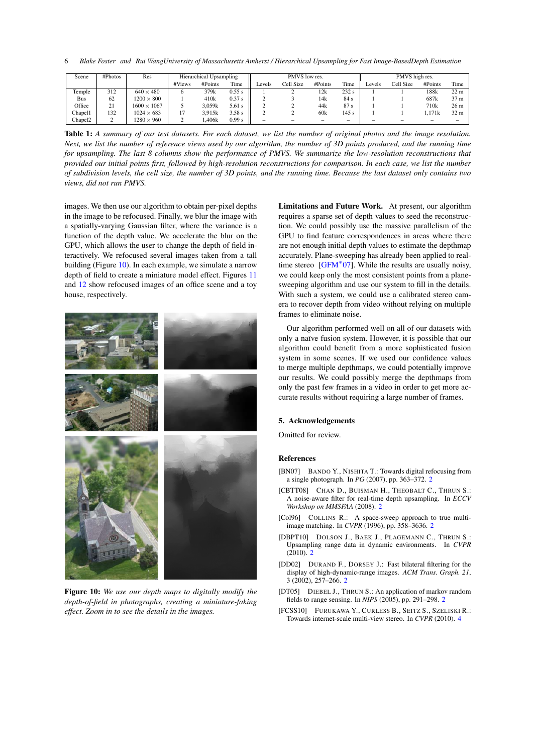<span id="page-5-9"></span>6 *Blake Foster and Rui WangUniversity of Massachusetts Amherst / Hierarchical Upsampling for Fast Image-BasedDepth Estimation*

| Scene   | #Photos | Res                | <b>Hierarchical Upsampling</b> |         |        | PMVS low res.            |           |         |       | PMVS high res. |           |                  |                 |
|---------|---------|--------------------|--------------------------------|---------|--------|--------------------------|-----------|---------|-------|----------------|-----------|------------------|-----------------|
|         |         |                    | #Views                         | #Points | Time   | ∟evels                   | Cell Size | #Points | Time  | Levels         | Cell Size | #Points          | Time            |
| Temple  | 312     | $640 \times 480$   |                                | 379k    | 0.55 s |                          |           | 12k     | 232s  |                |           | 188k             | 22 <sub>m</sub> |
| Bus     | 62      | $1200 \times 800$  |                                | 410k    | 0.37 s |                          |           | 14k     | 84 s  |                |           | 687k             | 37 m            |
| Office  | 21      | $1600 \times 1067$ |                                | 3.059k  | 5.61 s |                          |           | 44k     | 87s   |                |           | 710 <sub>k</sub> | 26 <sub>m</sub> |
| Chapel1 | 132     | $1024 \times 683$  |                                | 3.915k  | 3.58 s |                          |           | 60k     | 145 s |                |           | .171k            | 32 m            |
| Chapel2 |         | $1280 \times 960$  |                                | .406k   | 0.99 s | $\overline{\phantom{a}}$ |           |         | -     |                |           |                  | $\sim$          |

<span id="page-5-7"></span>Table 1: *A summary of our test datasets. For each dataset, we list the number of original photos and the image resolution. Next, we list the number of reference views used by our algorithm, the number of 3D points produced, and the running time for upsampling. The last 8 columns show the performance of PMVS. We summarize the low-resolution reconstructions that provided our initial points first, followed by high-resolution reconstructions for comparison. In each case, we list the number of subdivision levels, the cell size, the number of 3D points, and the running time. Because the last dataset only contains two views, did not run PMVS.*

images. We then use our algorithm to obtain per-pixel depths in the image to be refocused. Finally, we blur the image with a spatially-varying Gaussian filter, where the variance is a function of the depth value. We accelerate the blur on the GPU, which allows the user to change the depth of field interactively. We refocused several images taken from a tall building (Figure [10\)](#page-5-8). In each example, we simulate a narrow depth of field to create a miniature model effect. Figures [11](#page-7-18) and [12](#page-7-19) show refocused images of an office scene and a toy house, respectively.



Figure 10: *We use our depth maps to digitally modify the depth-of-field in photographs, creating a miniature-faking effect. Zoom in to see the details in the images.*

Limitations and Future Work. At present, our algorithm requires a sparse set of depth values to seed the reconstruction. We could possibly use the massive parallelism of the GPU to find feature correspondences in areas where there are not enough initial depth values to estimate the depthmap accurately. Plane-sweeping has already been applied to realtime stereo [\[GFM](#page-7-7)<sup>∗</sup> 07]. While the results are usually noisy, we could keep only the most consistent points from a planesweeping algorithm and use our system to fill in the details. With such a system, we could use a calibrated stereo camera to recover depth from video without relying on multiple frames to eliminate noise.

Our algorithm performed well on all of our datasets with only a naïve fusion system. However, it is possible that our algorithm could benefit from a more sophisticated fusion system in some scenes. If we used our confidence values to merge multiple depthmaps, we could potentially improve our results. We could possibly merge the depthmaps from only the past few frames in a video in order to get more accurate results without requiring a large number of frames.

# 5. Acknowledgements

Omitted for review.

#### References

- <span id="page-5-5"></span>[BN07] BANDO Y., NISHITA T.: Towards digital refocusing from a single photograph. In *PG* (2007), pp. 363–372. [2](#page-1-0)
- <span id="page-5-3"></span>[CBTT08] CHAN D., BUISMAN H., THEOBALT C., THRUN S.: A noise-aware filter for real-time depth upsampling. In *ECCV Workshop on MMSFAA* (2008). [2](#page-1-0)
- <span id="page-5-0"></span>[Col96] COLLINS R.: A space-sweep approach to true multiimage matching. In *CVPR* (1996), pp. 358–3636. [2](#page-1-0)
- <span id="page-5-4"></span>[DBPT10] DOLSON J., BAEK J., PLAGEMANN C., THRUN S.: Upsampling range data in dynamic environments. In *CVPR*  $(2010)$  $(2010)$  $(2010)$ . 2
- <span id="page-5-2"></span>[DD02] DURAND F., DORSEY J.: Fast bilateral filtering for the display of high-dynamic-range images. *ACM Trans. Graph. 21*, 3 (2002), 257–266. [2](#page-1-0)
- <span id="page-5-8"></span><span id="page-5-1"></span>[DT05] DIEBEL J., THRUN S.: An application of markov random fields to range sensing. In *NIPS* (2005), pp. 291–298. [2](#page-1-0)
- <span id="page-5-6"></span>[FCSS10] FURUKAWA Y., CURLESS B., SEITZ S., SZELISKI R.: Towards internet-scale multi-view stereo. In *CVPR* (2010). [4](#page-3-1)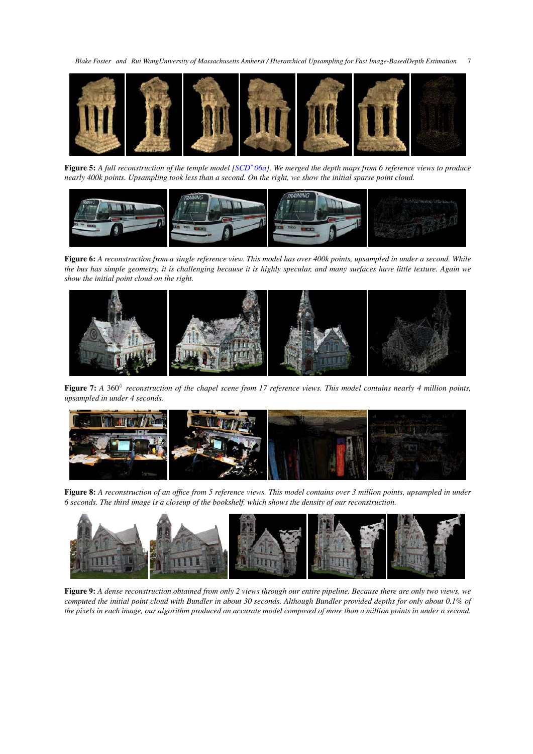<span id="page-6-5"></span>

Figure 5: *A full reconstruction of the temple model [\[SCD](#page-7-17)*<sup>∗</sup> *06a]. We merged the depth maps from 6 reference views to produce nearly 400k points. Upsampling took less than a second. On the right, we show the initial sparse point cloud.*

<span id="page-6-0"></span>

<span id="page-6-1"></span>Figure 6: *A reconstruction from a single reference view. This model has over 400k points, upsampled in under a second. While the bus has simple geometry, it is challenging because it is highly specular, and many surfaces have little texture. Again we show the initial point cloud on the right.*



<span id="page-6-2"></span>Figure 7: *A* 360◦ *reconstruction of the chapel scene from 17 reference views. This model contains nearly 4 million points, upsampled in under 4 seconds.*



<span id="page-6-4"></span>Figure 8: *A reconstruction of an office from 5 reference views. This model contains over 3 million points, upsampled in under 6 seconds. The third image is a closeup of the bookshelf, which shows the density of our reconstruction.*

<span id="page-6-3"></span>

Figure 9: *A dense reconstruction obtained from only 2 views through our entire pipeline. Because there are only two views, we computed the initial point cloud with Bundler in about 30 seconds. Although Bundler provided depths for only about 0.1% of the pixels in each image, our algorithm produced an accurate model composed of more than a million points in under a second.*